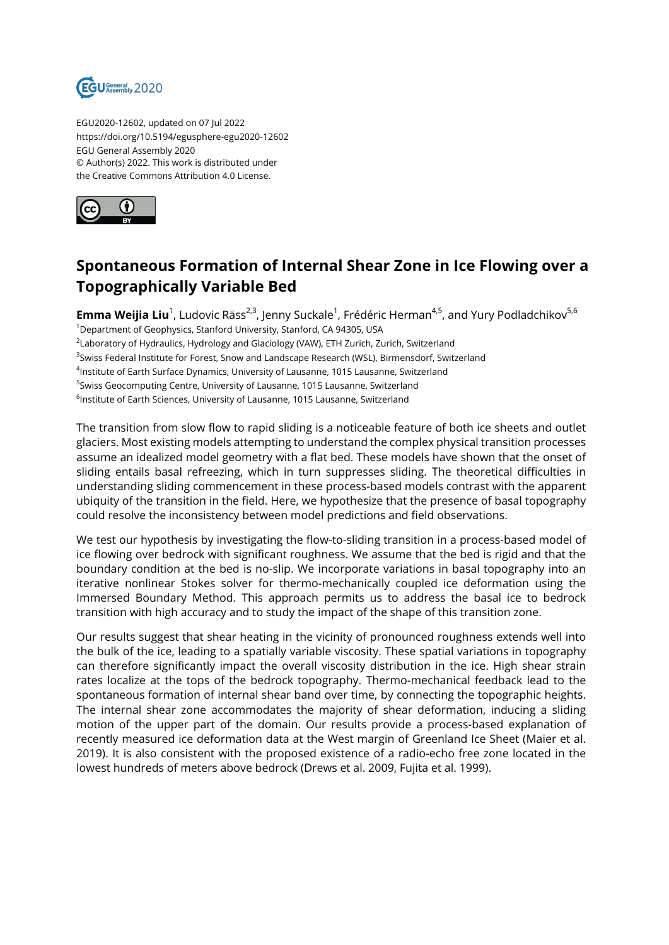

EGU2020-12602, updated on 07 Jul 2022 https://doi.org/10.5194/egusphere-egu2020-12602 EGU General Assembly 2020 © Author(s) 2022. This work is distributed under the Creative Commons Attribution 4.0 License.



## **Spontaneous Formation of Internal Shear Zone in Ice Flowing over a Topographically Variable Bed**

**Emma Weijia Liu**<sup>1</sup>, Ludovic Räss<sup>2,3</sup>, Jenny Suckale<sup>1</sup>, Frédéric Herman<sup>4,5</sup>, and Yury Podladchikov<sup>5,6</sup> <sup>1</sup>Department of Geophysics, Stanford University, Stanford, CA 94305, USA  $^2$ Laboratory of Hydraulics, Hydrology and Glaciology (VAW), ETH Zurich, Zurich, Switzerland <sup>3</sup>Swiss Federal Institute for Forest, Snow and Landscape Research (WSL), Birmensdorf, Switzerland 4 Institute of Earth Surface Dynamics, University of Lausanne, 1015 Lausanne, Switzerland <sup>5</sup>Swiss Geocomputing Centre, University of Lausanne, 1015 Lausanne, Switzerland  $^6$ Institute of Earth Sciences, University of Lausanne, 1015 Lausanne, Switzerland

The transition from slow flow to rapid sliding is a noticeable feature of both ice sheets and outlet glaciers. Most existing models attempting to understand the complex physical transition processes assume an idealized model geometry with a flat bed. These models have shown that the onset of sliding entails basal refreezing, which in turn suppresses sliding. The theoretical difficulties in understanding sliding commencement in these process-based models contrast with the apparent ubiquity of the transition in the field. Here, we hypothesize that the presence of basal topography could resolve the inconsistency between model predictions and field observations.

We test our hypothesis by investigating the flow-to-sliding transition in a process-based model of ice flowing over bedrock with significant roughness. We assume that the bed is rigid and that the boundary condition at the bed is no-slip. We incorporate variations in basal topography into an iterative nonlinear Stokes solver for thermo-mechanically coupled ice deformation using the Immersed Boundary Method. This approach permits us to address the basal ice to bedrock transition with high accuracy and to study the impact of the shape of this transition zone.

Our results suggest that shear heating in the vicinity of pronounced roughness extends well into the bulk of the ice, leading to a spatially variable viscosity. These spatial variations in topography can therefore significantly impact the overall viscosity distribution in the ice. High shear strain rates localize at the tops of the bedrock topography. Thermo-mechanical feedback lead to the spontaneous formation of internal shear band over time, by connecting the topographic heights. The internal shear zone accommodates the majority of shear deformation, inducing a sliding motion of the upper part of the domain. Our results provide a process-based explanation of recently measured ice deformation data at the West margin of Greenland Ice Sheet (Maier et al. 2019). It is also consistent with the proposed existence of a radio-echo free zone located in the lowest hundreds of meters above bedrock (Drews et al. 2009, Fujita et al. 1999).